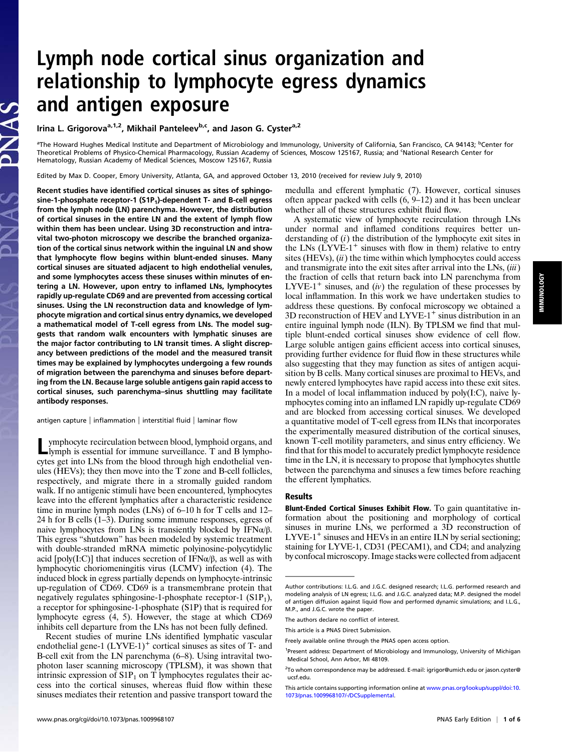# Lymph node cortical sinus organization and relationship to lymphocyte egress dynamics and antigen exposure

Irina L. Grigorova<sup>a, 1,2</sup>, Mikhail Panteleev<sup>b,c</sup>, and Jason G. Cyster<sup>a,2</sup>

PNAS

<sup>a</sup>The Howard Hughes Medical Institute and Department of Microbiology and Immunology, University of California, San Francisco, CA 94143; <sup>b</sup>Center for Theoretical Problems of Physico-Chemical Pharmacology, Russian Academy of Sciences, Moscow 125167, Russia; and <sup>c</sup>National Research Center for Hematology, Russian Academy of Medical Sciences, Moscow 125167, Russia

Edited by Max D. Cooper, Emory University, Atlanta, GA, and approved October 13, 2010 (received for review July 9, 2010)

Recent studies have identified cortical sinuses as sites of sphingosine-1-phosphate receptor-1 (S1P<sub>1</sub>)-dependent T- and B-cell egress from the lymph node (LN) parenchyma. However, the distribution of cortical sinuses in the entire LN and the extent of lymph flow within them has been unclear. Using 3D reconstruction and intravital two-photon microscopy we describe the branched organization of the cortical sinus network within the inguinal LN and show that lymphocyte flow begins within blunt-ended sinuses. Many cortical sinuses are situated adjacent to high endothelial venules, and some lymphocytes access these sinuses within minutes of entering a LN. However, upon entry to inflamed LNs, lymphocytes rapidly up-regulate CD69 and are prevented from accessing cortical sinuses. Using the LN reconstruction data and knowledge of lymphocyte migration and cortical sinus entry dynamics, we developed a mathematical model of T-cell egress from LNs. The model suggests that random walk encounters with lymphatic sinuses are the major factor contributing to LN transit times. A slight discrepancy between predictions of the model and the measured transit times may be explained by lymphocytes undergoing a few rounds of migration between the parenchyma and sinuses before departing from the LN. Because large soluble antigens gain rapid access to cortical sinuses, such parenchyma–sinus shuttling may facilitate antibody responses.

antigen capture | inflammation | interstitial fluid | laminar flow

Lymphocyte recirculation between blood, lymphoid organs, and lymph is essential for immune surveillance. T and B lymphocytes get into LNs from the blood through high endothelial venules (HEVs); they then move into the T zone and B-cell follicles, respectively, and migrate there in a stromally guided random walk. If no antigenic stimuli have been encountered, lymphocytes leave into the efferent lymphatics after a characteristic residence time in murine lymph nodes (LNs) of 6–10 h for T cells and 12– 24 h for B cells (1–3). During some immune responses, egress of naive lymphocytes from LNs is transiently blocked by IFNα/β. This egress "shutdown" has been modeled by systemic treatment with double-stranded mRNA mimetic polyinosine-polycytidylic acid [poly(I:C)] that induces secretion of IFN $\alpha/\beta$ , as well as with lymphocytic choriomeningitis virus (LCMV) infection (4). The induced block in egress partially depends on lymphocyte-intrinsic up-regulation of CD69. CD69 is a transmembrane protein that negatively regulates sphingosine-1-phosphate receptor-1 (S1P<sub>1</sub>), a receptor for sphingosine-1-phosphate (S1P) that is required for lymphocyte egress (4, 5). However, the stage at which CD69 inhibits cell departure from the LNs has not been fully defined.

Recent studies of murine LNs identified lymphatic vascular endothelial gene-1  $(LYVE-1)^+$  cortical sinuses as sites of T- and B-cell exit from the LN parenchyma (6–8). Using intravital twophoton laser scanning microscopy (TPLSM), it was shown that intrinsic expression of  $\text{S1P}_1$  on T lymphocytes regulates their access into the cortical sinuses, whereas fluid flow within these sinuses mediates their retention and passive transport toward the medulla and efferent lymphatic (7). However, cortical sinuses often appear packed with cells (6, 9–12) and it has been unclear whether all of these structures exhibit fluid flow.

A systematic view of lymphocyte recirculation through LNs under normal and inflamed conditions requires better understanding of  $(i)$  the distribution of the lymphocyte exit sites in the LNs  $(LYVE-1^+$  sinuses with flow in them) relative to entry sites (HEVs),  $(ii)$  the time within which lymphocytes could access and transmigrate into the exit sites after arrival into the LNs,  $(iii)$ the fraction of cells that return back into LN parenchyma from LYVE-1<sup>+</sup> sinuses, and  $(iv)$  the regulation of these processes by local inflammation. In this work we have undertaken studies to address these questions. By confocal microscopy we obtained a 3D reconstruction of HEV and LYVE- $1^+$  sinus distribution in an entire inguinal lymph node (ILN). By TPLSM we find that multiple blunt-ended cortical sinuses show evidence of cell flow. Large soluble antigen gains efficient access into cortical sinuses, providing further evidence for fluid flow in these structures while also suggesting that they may function as sites of antigen acquisition by B cells. Many cortical sinuses are proximal to HEVs, and newly entered lymphocytes have rapid access into these exit sites. In a model of local inflammation induced by poly(I:C), naive lymphocytes coming into an inflamed LN rapidly up-regulate CD69 and are blocked from accessing cortical sinuses. We developed a quantitative model of T-cell egress from ILNs that incorporates the experimentally measured distribution of the cortical sinuses, known T-cell motility parameters, and sinus entry efficiency. We find that for this model to accurately predict lymphocyte residence time in the LN, it is necessary to propose that lymphocytes shuttle between the parenchyma and sinuses a few times before reaching the efferent lymphatics.

## Results

Blunt-Ended Cortical Sinuses Exhibit Flow. To gain quantitative information about the positioning and morphology of cortical sinuses in murine LNs, we performed a 3D reconstruction of  $LYVE-1<sup>+</sup>$  sinuses and HEVs in an entire ILN by serial sectioning; staining for LYVE-1, CD31 (PECAM1), and CD4; and analyzing by confocal microscopy. Image stacks were collected from adjacent

Author contributions: I.L.G. and J.G.C. designed research; I.L.G. performed research and modeling analysis of LN egress; I.L.G. and J.G.C. analyzed data; M.P. designed the model of antigen diffusion against liquid flow and performed dynamic simulations; and I.L.G., M.P., and J.G.C. wrote the paper.

The authors declare no conflict of interest.

This article is a PNAS Direct Submission.

Freely available online through the PNAS open access option.

<sup>&</sup>lt;sup>1</sup>Present address: Department of Microbiology and Immunology, University of Michigan Medical School, Ann Arbor, MI 48109.

<sup>&</sup>lt;sup>2</sup>To whom correspondence may be addressed. E-mail: [igrigor@umich.edu](mailto:igrigor@umich.edu) or [jason.cyster@](mailto:jason.cyster@ucsf.edu) [ucsf.edu](mailto:jason.cyster@ucsf.edu).

This article contains supporting information online at [www.pnas.org/lookup/suppl/doi:10.](http://www.pnas.org/lookup/suppl/doi:10.1073/pnas.1009968107/-/DCSupplemental) [1073/pnas.1009968107/-/DCSupplemental](http://www.pnas.org/lookup/suppl/doi:10.1073/pnas.1009968107/-/DCSupplemental).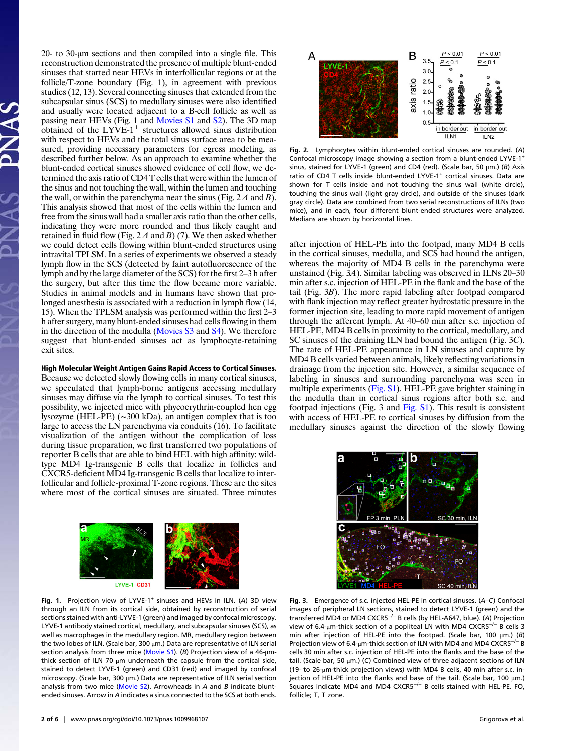20- to 30-μm sections and then compiled into a single file. This reconstruction demonstrated the presence of multiple blunt-ended sinuses that started near HEVs in interfollicular regions or at the follicle/T-zone boundary (Fig. 1), in agreement with previous studies (12, 13). Several connecting sinuses that extended from the subcapsular sinus (SCS) to medullary sinuses were also identified and usually were located adjacent to a B-cell follicle as well as passing near HEVs (Fig. 1 and [Movies S1](http://www.pnas.org/lookup/suppl/doi:10.1073/pnas.1009968107/-/DCSupplemental/sm01.mpg) and [S2](http://www.pnas.org/lookup/suppl/doi:10.1073/pnas.1009968107/-/DCSupplemental/sm02.mpg)). The 3D map obtained of the  $LYVE-1$ <sup>+</sup> structures allowed sinus distribution with respect to HEVs and the total sinus surface area to be measured, providing necessary parameters for egress modeling, as described further below. As an approach to examine whether the blunt-ended cortical sinuses showed evidence of cell flow, we determined the axis ratio of CD4 T cells that were within the lumen of the sinus and not touching the wall, within the lumen and touching the wall, or within the parenchyma near the sinus (Fig.  $2A$  and B). This analysis showed that most of the cells within the lumen and free from the sinus wall had a smaller axis ratio than the other cells, indicating they were more rounded and thus likely caught and retained in fluid flow (Fig.  $2A$  and B) (7). We then asked whether we could detect cells flowing within blunt-ended structures using intravital TPLSM. In a series of experiments we observed a steady lymph flow in the SCS (detected by faint autofluorescence of the lymph and by the large diameter of the SCS) for the first 2–3 h after the surgery, but after this time the flow became more variable. Studies in animal models and in humans have shown that prolonged anesthesia is associated with a reduction in lymph flow (14, 15). When the TPLSM analysis was performed within the first 2–3 h after surgery, many blunt-ended sinuses had cells flowing in them in the direction of the medulla [\(Movies S3](http://www.pnas.org/lookup/suppl/doi:10.1073/pnas.1009968107/-/DCSupplemental/sm03.mpg) and [S4\)](http://www.pnas.org/lookup/suppl/doi:10.1073/pnas.1009968107/-/DCSupplemental/sm04.mpg). We therefore suggest that blunt-ended sinuses act as lymphocyte-retaining exit sites.

#### High Molecular Weight Antigen Gains Rapid Access to Cortical Sinuses.

Because we detected slowly flowing cells in many cortical sinuses, we speculated that lymph-borne antigens accessing medullary sinuses may diffuse via the lymph to cortical sinuses. To test this possibility, we injected mice with phycoerythrin-coupled hen egg lysozyme (HEL-PE) (∼300 kDa), an antigen complex that is too large to access the LN parenchyma via conduits (16). To facilitate visualization of the antigen without the complication of loss during tissue preparation, we first transferred two populations of reporter B cells that are able to bind HEL with high affinity: wildtype MD4 Ig-transgenic B cells that localize in follicles and CXCR5-deficient MD4 Ig-transgenic B cells that localize to interfollicular and follicle-proximal T-zone regions. These are the sites where most of the cortical sinuses are situated. Three minutes



Fig. 1. Projection view of LYVE-1<sup>+</sup> sinuses and HEVs in ILN. (A) 3D view through an ILN from its cortical side, obtained by reconstruction of serial sections stained with anti-LYVE-1 (green) and imaged by confocal microscopy. LYVE-1 antibody stained cortical, medullary, and subcapsular sinuses (SCS), as well as macrophages in the medullary region. MR, medullary region between the two lobes of ILN. (Scale bar, 300 μm.) Data are representative of ILN serial section analysis from three mice ([Movie S1](http://www.pnas.org/lookup/suppl/doi:10.1073/pnas.1009968107/-/DCSupplemental/sm01.mpg)). (B) Projection view of a 46-μmthick section of ILN 70 μm underneath the capsule from the cortical side, stained to detect LYVE-1 (green) and CD31 (red) and imaged by confocal microscopy. (Scale bar, 300 μm.) Data are representative of ILN serial section analysis from two mice ([Movie S2\)](http://www.pnas.org/lookup/suppl/doi:10.1073/pnas.1009968107/-/DCSupplemental/sm02.mpg). Arrowheads in  $A$  and  $B$  indicate bluntended sinuses. Arrow in A indicates a sinus connected to the SCS at both ends.



Fig. 2. Lymphocytes within blunt-ended cortical sinuses are rounded. (A) Confocal microscopy image showing a section from a blunt-ended LYVE-1<sup>+</sup> sinus, stained for LYVE-1 (green) and CD4 (red). (Scale bar, 50 μm.) (B) Axis ratio of CD4 T cells inside blunt-ended LYVE-1<sup>+</sup> cortical sinuses. Data are shown for T cells inside and not touching the sinus wall (white circle), touching the sinus wall (light gray circle), and outside of the sinuses (dark gray circle). Data are combined from two serial reconstructions of ILNs (two mice), and in each, four different blunt-ended structures were analyzed. Medians are shown by horizontal lines.

after injection of HEL-PE into the footpad, many MD4 B cells in the cortical sinuses, medulla, and SCS had bound the antigen, whereas the majority of MD4 B cells in the parenchyma were unstained (Fig. 3A). Similar labeling was observed in ILNs 20–30 min after s.c. injection of HEL-PE in the flank and the base of the tail (Fig. 3B). The more rapid labeling after footpad compared with flank injection may reflect greater hydrostatic pressure in the former injection site, leading to more rapid movement of antigen through the afferent lymph. At 40–60 min after s.c. injection of HEL-PE, MD4 B cells in proximity to the cortical, medullary, and SC sinuses of the draining ILN had bound the antigen (Fig. 3C). The rate of HEL-PE appearance in LN sinuses and capture by MD4 B cells varied between animals, likely reflecting variations in drainage from the injection site. However, a similar sequence of labeling in sinuses and surrounding parenchyma was seen in multiple experiments ([Fig. S1\)](http://www.pnas.org/lookup/suppl/doi:10.1073/pnas.1009968107/-/DCSupplemental/pnas.201009968SI.pdf?targetid=nameddest=SF1). HEL-PE gave brighter staining in the medulla than in cortical sinus regions after both s.c. and footpad injections (Fig. 3 and [Fig. S1\)](http://www.pnas.org/lookup/suppl/doi:10.1073/pnas.1009968107/-/DCSupplemental/pnas.201009968SI.pdf?targetid=nameddest=SF1). This result is consistent with access of HEL-PE to cortical sinuses by diffusion from the medullary sinuses against the direction of the slowly flowing



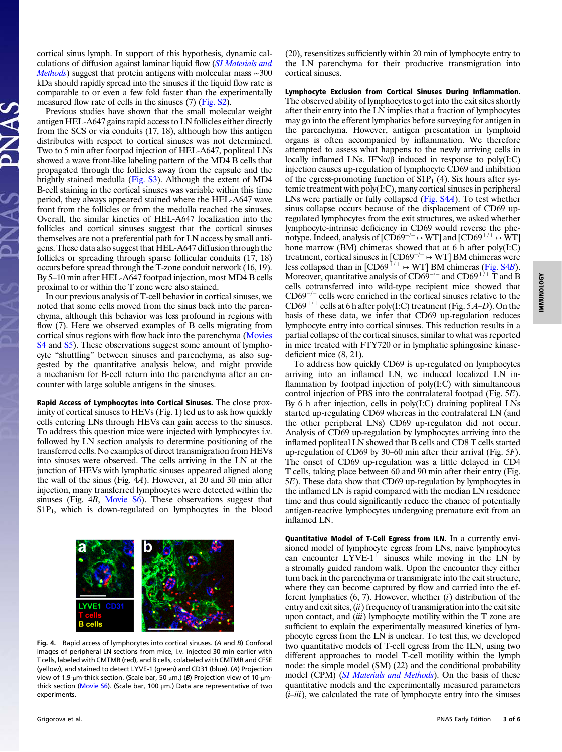IMMUNOLOGY**IMMUNOLOGY** 

cortical sinus lymph. In support of this hypothesis, dynamic cal-culations of diffusion against laminar liquid flow ([SI Materials and](http://www.pnas.org/lookup/suppl/doi:10.1073/pnas.1009968107/-/DCSupplemental/pnas.201009968SI.pdf?targetid=nameddest=STXT) [Methods](http://www.pnas.org/lookup/suppl/doi:10.1073/pnas.1009968107/-/DCSupplemental/pnas.201009968SI.pdf?targetid=nameddest=STXT)) suggest that protein antigens with molecular mass ∼300 kDa should rapidly spread into the sinuses if the liquid flow rate is comparable to or even a few fold faster than the experimentally measured flow rate of cells in the sinuses (7) ([Fig. S2\)](http://www.pnas.org/lookup/suppl/doi:10.1073/pnas.1009968107/-/DCSupplemental/pnas.201009968SI.pdf?targetid=nameddest=SF2).

Previous studies have shown that the small molecular weight antigen HEL-A647 gains rapid access to LN follicles either directly from the SCS or via conduits (17, 18), although how this antigen distributes with respect to cortical sinuses was not determined. Two to 5 min after footpad injection of HEL-A647, popliteal LNs showed a wave front-like labeling pattern of the MD4 B cells that propagated through the follicles away from the capsule and the brightly stained medulla ([Fig. S3\)](http://www.pnas.org/lookup/suppl/doi:10.1073/pnas.1009968107/-/DCSupplemental/pnas.201009968SI.pdf?targetid=nameddest=SF3). Although the extent of MD4 B-cell staining in the cortical sinuses was variable within this time period, they always appeared stained where the HEL-A647 wave front from the follicles or from the medulla reached the sinuses. Overall, the similar kinetics of HEL-A647 localization into the follicles and cortical sinuses suggest that the cortical sinuses themselves are not a preferential path for LN access by small antigens. These data also suggest that HEL-A647 diffusion through the follicles or spreading through sparse follicular conduits (17, 18) occurs before spread through the T-zone conduit network (16, 19). By 5–10 min after HEL-A647 footpad injection, most MD4 B cells proximal to or within the T zone were also stained.

In our previous analysis of T-cell behavior in cortical sinuses, we noted that some cells moved from the sinus back into the parenchyma, although this behavior was less profound in regions with flow (7). Here we observed examples of B cells migrating from cortical sinus regions with flow back into the parenchyma [\(Movies](http://www.pnas.org/lookup/suppl/doi:10.1073/pnas.1009968107/-/DCSupplemental/sm04.mpg) [S4](http://www.pnas.org/lookup/suppl/doi:10.1073/pnas.1009968107/-/DCSupplemental/sm04.mpg) and [S5](http://www.pnas.org/lookup/suppl/doi:10.1073/pnas.1009968107/-/DCSupplemental/sm05.mpg)). These observations suggest some amount of lymphocyte "shuttling" between sinuses and parenchyma, as also suggested by the quantitative analysis below, and might provide a mechanism for B-cell return into the parenchyma after an encounter with large soluble antigens in the sinuses.

Rapid Access of Lymphocytes into Cortical Sinuses. The close proximity of cortical sinuses to HEVs (Fig. 1) led us to ask how quickly cells entering LNs through HEVs can gain access to the sinuses. To address this question mice were injected with lymphocytes i.v. followed by LN section analysis to determine positioning of the transferred cells. No examples of direct transmigration from HEVs into sinuses were observed. The cells arriving in the LN at the junction of HEVs with lymphatic sinuses appeared aligned along the wall of the sinus (Fig. 4A). However, at 20 and 30 min after injection, many transferred lymphocytes were detected within the sinuses (Fig. 4B, [Movie S6](http://www.pnas.org/lookup/suppl/doi:10.1073/pnas.1009968107/-/DCSupplemental/sm06.mpg)). These observations suggest that  $S1P_1$ , which is down-regulated on lymphocytes in the blood



Fig. 4. Rapid access of lymphocytes into cortical sinuses. (A and B) Confocal images of peripheral LN sections from mice, i.v. injected 30 min earlier with T cells, labeled with CMTMR (red), and B cells, colabeled with CMTMR and CFSE (yellow), and stained to detect LYVE-1 (green) and CD31 (blue). (A) Projection view of 1.9-μm-thick section. (Scale bar, 50 μm.) (B) Projection view of 10-μm-thick section ([Movie S6](http://www.pnas.org/lookup/suppl/doi:10.1073/pnas.1009968107/-/DCSupplemental/sm06.mpg)). (Scale bar, 100 μm.) Data are representative of two experiments.

(20), resensitizes sufficiently within 20 min of lymphocyte entry to the LN parenchyma for their productive transmigration into cortical sinuses.

Lymphocyte Exclusion from Cortical Sinuses During Inflammation. The observed ability of lymphocytes to get into the exit sites shortly after their entry into the LN implies that a fraction of lymphocytes may go into the efferent lymphatics before surveying for antigen in the parenchyma. However, antigen presentation in lymphoid organs is often accompanied by inflammation. We therefore attempted to assess what happens to the newly arriving cells in locally inflamed LNs. IFNα/β induced in response to poly $(I:C)$ injection causes up-regulation of lymphocyte CD69 and inhibition of the egress-promoting function of  $S1P_1$  (4). Six hours after systemic treatment with poly(I:C), many cortical sinuses in peripheral LNs were partially or fully collapsed [\(Fig. S4](http://www.pnas.org/lookup/suppl/doi:10.1073/pnas.1009968107/-/DCSupplemental/pnas.201009968SI.pdf?targetid=nameddest=SF4)A). To test whether sinus collapse occurs because of the displacement of CD69 upregulated lymphocytes from the exit structures, we asked whether lymphocyte-intrinsic deficiency in CD69 would reverse the phenotype. Indeed, analysis of  $[CD69^{-/-} \rightarrow WT]$  and  $[CD69^{+/+} \rightarrow WT]$ bone marrow (BM) chimeras showed that at 6 h after poly(I:C) treatment, cortical sinuses in [CD69−/<sup>−</sup> ↦ WT] BM chimeras were less collapsed than in  $[CD69^{+/+} \rightarrow WT]$  BM chimeras ([Fig. S4](http://www.pnas.org/lookup/suppl/doi:10.1073/pnas.1009968107/-/DCSupplemental/pnas.201009968SI.pdf?targetid=nameddest=SF4)B). Moreover, quantitative analysis of CD69<sup>-/-</sup> and CD69<sup>+/+</sup> T and B cells cotransferred into wild-type recipient mice showed that CD69−/<sup>−</sup> cells were enriched in the cortical sinuses relative to the  $CD69^{+/+}$  cells at 6 h after poly(I:C) treatment (Fig. 5A–D). On the basis of these data, we infer that CD69 up-regulation reduces lymphocyte entry into cortical sinuses. This reduction results in a partial collapse of the cortical sinuses, similar to what was reported in mice treated with FTY720 or in lymphatic sphingosine kinasedeficient mice (8, 21).

To address how quickly CD69 is up-regulated on lymphocytes arriving into an inflamed LN, we induced localized LN inflammation by footpad injection of poly(I:C) with simultaneous control injection of PBS into the contralateral footpad (Fig. 5E). By 6 h after injection, cells in poly(I:C) draining popliteal LNs started up-regulating CD69 whereas in the contralateral LN (and the other peripheral LNs) CD69 up-regulaton did not occur. Analysis of CD69 up-regulation by lymphocytes arriving into the inflamed popliteal LN showed that B cells and CD8 T cells started up-regulation of CD69 by 30–60 min after their arrival (Fig. 5F). The onset of CD69 up-regulation was a little delayed in CD4 T cells, taking place between 60 and 90 min after their entry (Fig. 5E). These data show that CD69 up-regulation by lymphocytes in the inflamed LN is rapid compared with the median LN residence time and thus could significantly reduce the chance of potentially antigen-reactive lymphocytes undergoing premature exit from an inflamed LN.

Quantitative Model of T-Cell Egress from ILN. In a currently envisioned model of lymphocyte egress from LNs, naive lymphocytes can encounter  $LYVE-1$ <sup>+</sup> sinuses while moving in the LN by a stromally guided random walk. Upon the encounter they either turn back in the parenchyma or transmigrate into the exit structure, where they can become captured by flow and carried into the efferent lymphatics  $(6, 7)$ . However, whether  $(i)$  distribution of the entry and exit sites,  $(i)$  frequency of transmigration into the exit site upon contact, and  $(iii)$  lymphocyte motility within the T zone are sufficient to explain the experimentally measured kinetics of lymphocyte egress from the LN is unclear. To test this, we developed two quantitative models of T-cell egress from the ILN, using two different approaches to model T-cell motility within the lymph node: the simple model (SM) (22) and the conditional probability model (CPM) ([SI Materials and Methods](http://www.pnas.org/lookup/suppl/doi:10.1073/pnas.1009968107/-/DCSupplemental/pnas.201009968SI.pdf?targetid=nameddest=STXT)). On the basis of these quantitative models and the experimentally measured parameters  $(i$ -*iii*), we calculated the rate of lymphocyte entry into the sinuses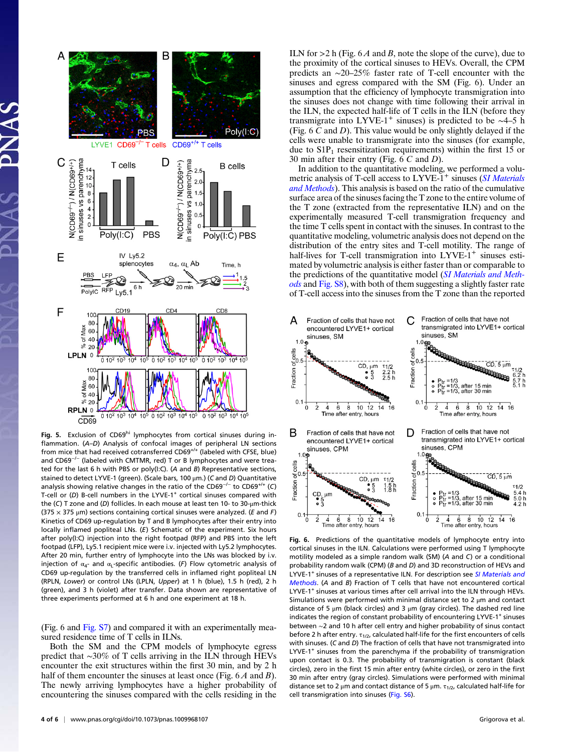

Fig. 5. Exclusion of CD69hi lymphocytes from cortical sinuses during inflammation. (A–D) Analysis of confocal images of peripheral LN sections from mice that had received cotransferred CD69<sup>+/+</sup> (labeled with CFSE, blue) and CD69<sup>-/−</sup> (labeled with CMTMR, red) T or B lymphocytes and were treated for the last 6 h with PBS or poly(I:C). (A and B) Representative sections, stained to detect LYVE-1 (green). (Scale bars, 100 μm.) (C and D) Quantitative analysis showing relative changes in the ratio of the CD69<sup>-/−</sup> to CD69<sup>+/+</sup> (C) T-cell or  $(D)$  B-cell numbers in the LYVE-1<sup>+</sup> cortical sinuses compared with the (C) T zone and (D) follicles. In each mouse at least ten 10- to 30-μm-thick  $(375 \times 375 \mu m)$  sections containing cortical sinuses were analyzed. (*E* and *F*) Kinetics of CD69 up-regulation by T and B lymphocytes after their entry into locally inflamed popliteal LNs. (E) Schematic of the experiment. Six hours after poly(I:C) injection into the right footpad (RFP) and PBS into the left footpad (LFP), Ly5.1 recipient mice were i.v. injected with Ly5.2 lymphocytes. After 20 min, further entry of lymphocyte into the LNs was blocked by i.v. injection of  $\alpha_{4}$ - and  $\alpha_{L}$ -specific antibodies. (F) Flow cytometric analysis of CD69 up-regulation by the transferred cells in inflamed right popliteal LN (RPLN, Lower) or control LNs (LPLN, Upper) at 1 h (blue), 1.5 h (red), 2 h (green), and 3 h (violet) after transfer. Data shown are representative of three experiments performed at 6 h and one experiment at 18 h.

(Fig. 6 and [Fig. S7](http://www.pnas.org/lookup/suppl/doi:10.1073/pnas.1009968107/-/DCSupplemental/pnas.201009968SI.pdf?targetid=nameddest=SF7)) and compared it with an experimentally measured residence time of T cells in ILNs.

Both the SM and the CPM models of lymphocyte egress predict that ∼30% of T cells arriving in the ILN through HEVs encounter the exit structures within the first 30 min, and by 2 h half of them encounter the sinuses at least once (Fig.  $6A$  and B). The newly arriving lymphocytes have a higher probability of encountering the sinuses compared with the cells residing in the ILN for  $>2$  h (Fig. 6 A and B, note the slope of the curve), due to the proximity of the cortical sinuses to HEVs. Overall, the CPM predicts an ∼20–25% faster rate of T-cell encounter with the sinuses and egress compared with the SM (Fig. 6). Under an assumption that the efficiency of lymphocyte transmigration into the sinuses does not change with time following their arrival in the ILN, the expected half-life of T cells in the ILN (before they transmigrate into LYVE-1<sup>+</sup> sinuses) is predicted to be  $~\sim$ 4–5 h (Fig.  $6 C$  and  $D$ ). This value would be only slightly delayed if the cells were unable to transmigrate into the sinuses (for example, due to  $\text{S1P}_1$  resensitization requirements) within the first 15 or 30 min after their entry (Fig. 6 C and D).

In addition to the quantitative modeling, we performed a volumetric analysis of T-cell access to  $LYVE-1^+$  sinuses ([SI Materials](http://www.pnas.org/lookup/suppl/doi:10.1073/pnas.1009968107/-/DCSupplemental/pnas.201009968SI.pdf?targetid=nameddest=STXT) [and Methods](http://www.pnas.org/lookup/suppl/doi:10.1073/pnas.1009968107/-/DCSupplemental/pnas.201009968SI.pdf?targetid=nameddest=STXT)). This analysis is based on the ratio of the cumulative surface area of the sinuses facing the T zone to the entire volume of the T zone (extracted from the representative ILN) and on the experimentally measured T-cell transmigration frequency and the time T cells spent in contact with the sinuses. In contrast to the quantitative modeling, volumetric analysis does not depend on the distribution of the entry sites and T-cell motility. The range of half-lives for T-cell transmigration into LYVE-1<sup>+</sup> sinuses estimated by volumetric analysis is either faster than or comparable to the predictions of the quantitative model ([SI Materials and Meth](http://www.pnas.org/lookup/suppl/doi:10.1073/pnas.1009968107/-/DCSupplemental/pnas.201009968SI.pdf?targetid=nameddest=STXT)[ods](http://www.pnas.org/lookup/suppl/doi:10.1073/pnas.1009968107/-/DCSupplemental/pnas.201009968SI.pdf?targetid=nameddest=STXT) and [Fig. S8\)](http://www.pnas.org/lookup/suppl/doi:10.1073/pnas.1009968107/-/DCSupplemental/pnas.201009968SI.pdf?targetid=nameddest=SF8), with both of them suggesting a slightly faster rate of T-cell access into the sinuses from the T zone than the reported



Fig. 6. Predictions of the quantitative models of lymphocyte entry into cortical sinuses in the ILN. Calculations were performed using T lymphocyte motility modeled as a simple random walk (SM) (A and C) or a conditional probability random walk (CPM) (B and D) and 3D reconstruction of HEVs and LYVE-1<sup>+</sup> sinuses of a representative ILN. For description see [SI Materials and](http://www.pnas.org/lookup/suppl/doi:10.1073/pnas.1009968107/-/DCSupplemental/pnas.201009968SI.pdf?targetid=nameddest=STXT) [Methods](http://www.pnas.org/lookup/suppl/doi:10.1073/pnas.1009968107/-/DCSupplemental/pnas.201009968SI.pdf?targetid=nameddest=STXT). (A and B) Fraction of T cells that have not encountered cortical LYVE-1<sup>+</sup> sinuses at various times after cell arrival into the ILN through HEVs. Simulations were performed with minimal distance set to 2 μm and contact distance of 5 μm (black circles) and 3 μm (gray circles). The dashed red line indicates the region of constant probability of encountering LYVE-1<sup>+</sup> sinuses between ∼2 and 10 h after cell entry and higher probability of sinus contact before 2 h after entry.  $\tau_{1/2}$ , calculated half-life for the first encounters of cells with sinuses. (C and D) The fraction of cells that have not transmigrated into LYVE-1<sup>+</sup> sinuses from the parenchyma if the probability of transmigration upon contact is 0.3. The probability of transmigration is constant (black circles), zero in the first 15 min after entry (white circles), or zero in the first 30 min after entry (gray circles). Simulations were performed with minimal distance set to 2  $\mu$ m and contact distance of 5  $\mu$ m.  $\tau_{1/2}$ , calculated half-life for cell transmigration into sinuses ([Fig. S6\)](http://www.pnas.org/lookup/suppl/doi:10.1073/pnas.1009968107/-/DCSupplemental/pnas.201009968SI.pdf?targetid=nameddest=SF6).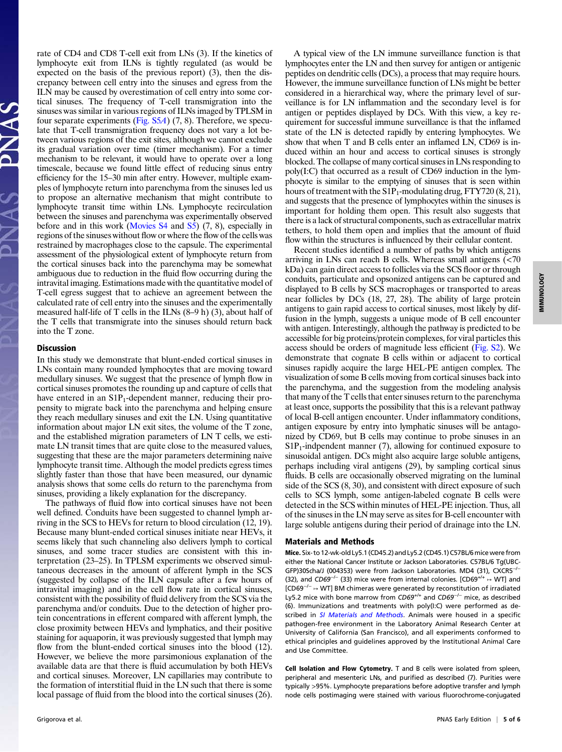rate of CD4 and CD8 T-cell exit from LNs (3). If the kinetics of lymphocyte exit from ILNs is tightly regulated (as would be expected on the basis of the previous report) (3), then the discrepancy between cell entry into the sinuses and egress from the ILN may be caused by overestimation of cell entry into some cortical sinuses. The frequency of T-cell transmigration into the sinuses was similar in various regions of ILNs imaged by TPLSM in four separate experiments ([Fig. S5](http://www.pnas.org/lookup/suppl/doi:10.1073/pnas.1009968107/-/DCSupplemental/pnas.201009968SI.pdf?targetid=nameddest=SF5)A) (7, 8). Therefore, we speculate that T-cell transmigration frequency does not vary a lot between various regions of the exit sites, although we cannot exclude its gradual variation over time (timer mechanism). For a timer mechanism to be relevant, it would have to operate over a long timescale, because we found little effect of reducing sinus entry efficiency for the 15–30 min after entry. However, multiple examples of lymphocyte return into parenchyma from the sinuses led us to propose an alternative mechanism that might contribute to lymphocyte transit time within LNs. Lymphocyte recirculation between the sinuses and parenchyma was experimentally observed before and in this work (Movies  $S4$  and  $S5$ ) (7, 8), especially in regions of the sinuses without flow or where the flow of the cells was restrained by macrophages close to the capsule. The experimental assessment of the physiological extent of lymphocyte return from the cortical sinuses back into the parenchyma may be somewhat ambiguous due to reduction in the fluid flow occurring during the intravital imaging. Estimations made with the quantitative model of T-cell egress suggest that to achieve an agreement between the calculated rate of cell entry into the sinuses and the experimentally measured half-life of T cells in the ILNs  $(8-9 h)$  (3), about half of the T cells that transmigrate into the sinuses should return back into the T zone.

## Discussion

In this study we demonstrate that blunt-ended cortical sinuses in LNs contain many rounded lymphocytes that are moving toward medullary sinuses. We suggest that the presence of lymph flow in cortical sinuses promotes the rounding up and capture of cells that have entered in an  $\text{S1P}_1$ -dependent manner, reducing their propensity to migrate back into the parenchyma and helping ensure they reach medullary sinuses and exit the LN. Using quantitative information about major LN exit sites, the volume of the T zone, and the established migration parameters of LN T cells, we estimate LN transit times that are quite close to the measured values, suggesting that these are the major parameters determining naive lymphocyte transit time. Although the model predicts egress times slightly faster than those that have been measured, our dynamic analysis shows that some cells do return to the parenchyma from sinuses, providing a likely explanation for the discrepancy.

The pathways of fluid flow into cortical sinuses have not been well defined. Conduits have been suggested to channel lymph arriving in the SCS to HEVs for return to blood circulation (12, 19). Because many blunt-ended cortical sinuses initiate near HEVs, it seems likely that such channeling also delivers lymph to cortical sinuses, and some tracer studies are consistent with this interpretation (23–25). In TPLSM experiments we observed simultaneous decreases in the amount of afferent lymph in the SCS (suggested by collapse of the ILN capsule after a few hours of intravital imaging) and in the cell flow rate in cortical sinuses, consistent with the possibility of fluid delivery from the SCS via the parenchyma and/or conduits. Due to the detection of higher protein concentrations in efferent compared with afferent lymph, the close proximity between HEVs and lymphatics, and their positive staining for aquaporin, it was previously suggested that lymph may flow from the blunt-ended cortical sinuses into the blood (12). However, we believe the more parsimonious explanation of the available data are that there is fluid accumulation by both HEVs and cortical sinuses. Moreover, LN capillaries may contribute to the formation of interstitial fluid in the LN such that there is some local passage of fluid from the blood into the cortical sinuses (26).

A typical view of the LN immune surveillance function is that lymphocytes enter the LN and then survey for antigen or antigenic peptides on dendritic cells (DCs), a process that may require hours. However, the immune surveillance function of LNs might be better considered in a hierarchical way, where the primary level of surveillance is for LN inflammation and the secondary level is for antigen or peptides displayed by DCs. With this view, a key requirement for successful immune surveillance is that the inflamed state of the LN is detected rapidly by entering lymphocytes. We show that when T and B cells enter an inflamed LN, CD69 is induced within an hour and access to cortical sinuses is strongly blocked. The collapse of many cortical sinuses in LNs responding to poly(I:C) that occurred as a result of CD69 induction in the lymphocyte is similar to the emptying of sinuses that is seen within hours of treatment with the  $S1P_1$ -modulating drug, FTY720 (8, 21), and suggests that the presence of lymphocytes within the sinuses is important for holding them open. This result also suggests that there is a lack of structural components, such as extracellular matrix tethers, to hold them open and implies that the amount of fluid flow within the structures is influenced by their cellular content.

Recent studies identified a number of paths by which antigens arriving in LNs can reach B cells. Whereas small antigens (<70 kDa) can gain direct access to follicles via the SCS floor or through conduits, particulate and opsonized antigens can be captured and displayed to B cells by SCS macrophages or transported to areas near follicles by DCs (18, 27, 28). The ability of large protein antigens to gain rapid access to cortical sinuses, most likely by diffusion in the lymph, suggests a unique mode of B cell encounter with antigen. Interestingly, although the pathway is predicted to be accessible for big proteins/protein complexes, for viral particles this access should be orders of magnitude less efficient [\(Fig. S2\)](http://www.pnas.org/lookup/suppl/doi:10.1073/pnas.1009968107/-/DCSupplemental/pnas.201009968SI.pdf?targetid=nameddest=SF2). We demonstrate that cognate B cells within or adjacent to cortical sinuses rapidly acquire the large HEL-PE antigen complex. The visualization of some B cells moving from cortical sinuses back into the parenchyma, and the suggestion from the modeling analysis that many of the T cells that enter sinuses return to the parenchyma at least once, supports the possibility that this is a relevant pathway of local B-cell antigen encounter. Under inflammatory conditions, antigen exposure by entry into lymphatic sinuses will be antagonized by CD69, but B cells may continue to probe sinuses in an  $S1P_1$ -indpendent manner (7), allowing for continued exposure to sinusoidal antigen. DCs might also acquire large soluble antigens, perhaps including viral antigens (29), by sampling cortical sinus fluids. B cells are occasionally observed migrating on the luminal side of the SCS (8, 30), and consistent with direct exposure of such cells to SCS lymph, some antigen-labeled cognate B cells were detected in the SCS within minutes of HEL-PE injection. Thus, all of the sinuses in the LN may serve as sites for B-cell encounter with large soluble antigens during their period of drainage into the LN.

### Materials and Methods

Mice. Six- to 12-wk-old Ly5.1 (CD45.2) and Ly5.2 (CD45.1)C57BL/6micewere from either the National Cancer Institute or Jackson Laboratories. C57BL/6 Tg(UBC-GFP)30Scha/J (004353) were from Jackson Laboratories. MD4 (31), CXCR5−/<sup>−</sup> (32), and CD69<sup>-/−</sup> (33) mice were from internal colonies. [CD69<sup>+/+</sup>  $\mapsto$  WT] and [CD69−/<sup>−</sup> ↦ WT] BM chimeras were generated by reconstitution of irradiated Ly5.2 mice with bone marrow from CD69<sup>+/+</sup> and CD69<sup>-/−</sup> mice, as described (6). Immunizations and treatments with poly(I:C) were performed as de-scribed in [SI Materials and Methods](http://www.pnas.org/lookup/suppl/doi:10.1073/pnas.1009968107/-/DCSupplemental/pnas.201009968SI.pdf?targetid=nameddest=STXT). Animals were housed in a specific pathogen-free environment in the Laboratory Animal Research Center at University of California (San Francisco), and all experiments conformed to ethical principles and guidelines approved by the Institutional Animal Care and Use Committee.

Cell Isolation and Flow Cytometry. T and B cells were isolated from spleen, peripheral and mesenteric LNs, and purified as described (7). Purities were typically >95%. Lymphocyte preparations before adoptive transfer and lymph node cells postimaging were stained with various fluorochrome-conjugated